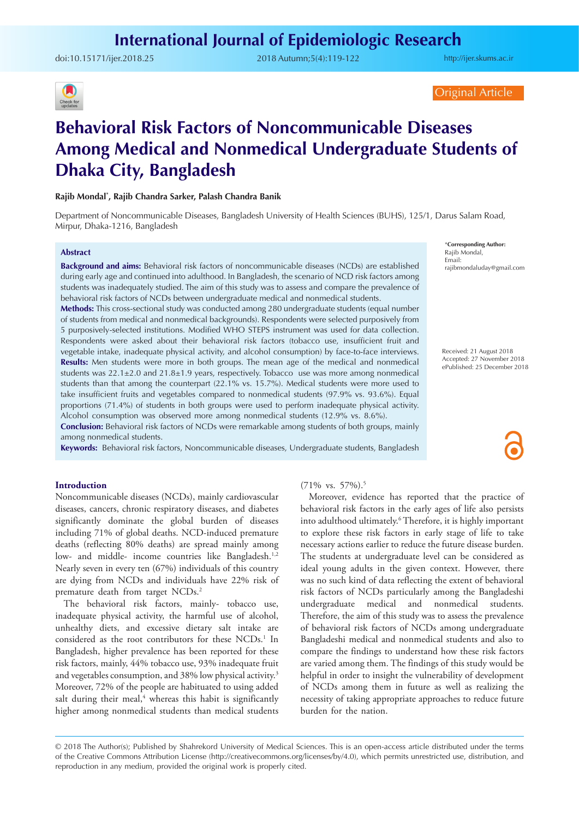doi:[10.15171/ijer.2018.25](https://doi.org/10.15171/ijer.2018.25 ) 2018 Autumn;5(4):119-122

<http://ijer.skums.ac.ir>



Original Article

# **Behavioral Risk Factors of Noncommunicable Diseases Among Medical and Nonmedical Undergraduate Students of Dhaka City, Bangladesh**

## **Rajib Mondal\* , Rajib Chandra Sarker, Palash Chandra Banik**

Department of Noncommunicable Diseases, Bangladesh University of Health Sciences (BUHS), 125/1, Darus Salam Road, Mirpur, Dhaka-1216, Bangladesh

### **Abstract**

**Background and aims:** Behavioral risk factors of noncommunicable diseases (NCDs) are established during early age and continued into adulthood. In Bangladesh, the scenario of NCD risk factors among students was inadequately studied. The aim of this study was to assess and compare the prevalence of behavioral risk factors of NCDs between undergraduate medical and nonmedical students.

**Methods:** This cross-sectional study was conducted among 280 undergraduate students (equal number of students from medical and nonmedical backgrounds). Respondents were selected purposively from 5 purposively-selected institutions. Modified WHO STEPS instrument was used for data collection. Respondents were asked about their behavioral risk factors (tobacco use, insufficient fruit and vegetable intake, inadequate physical activity, and alcohol consumption) by face-to-face interviews. **Results:** Men students were more in both groups. The mean age of the medical and nonmedical students was 22.1±2.0 and 21.8±1.9 years, respectively. Tobacco use was more among nonmedical students than that among the counterpart (22.1% vs. 15.7%). Medical students were more used to take insufficient fruits and vegetables compared to nonmedical students (97.9% vs. 93.6%). Equal proportions (71.4%) of students in both groups were used to perform inadequate physical activity. Alcohol consumption was observed more among nonmedical students (12.9% vs. 8.6%). **Conclusion:** Behavioral risk factors of NCDs were remarkable among students of both groups, mainly

among nonmedical students.

**Keywords:** Behavioral risk factors, Noncommunicable diseases, Undergraduate students, Bangladesh

#### \***Corresponding Author:** Rajib Mondal, Email: rajibmondaluday@gmail.com

Received: 21 August 2018 Accepted: 27 November 2018 ePublished: 25 December 2018

### **Introduction**

Noncommunicable diseases (NCDs), mainly cardiovascular diseases, cancers, chronic respiratory diseases, and diabetes significantly dominate the global burden of diseases including 71% of global deaths. NCD-induced premature deaths (reflecting 80% deaths) are spread mainly among low- and middle- income countries like Bangladesh.<sup>1,2</sup> Nearly seven in every ten (67%) individuals of this country are dying from NCDs and individuals have 22% risk of premature death from target NCDs.<sup>2</sup>

The behavioral risk factors, mainly- tobacco use, inadequate physical activity, the harmful use of alcohol, unhealthy diets, and excessive dietary salt intake are considered as the root contributors for these NCDs.<sup>1</sup> In Bangladesh, higher prevalence has been reported for these risk factors, mainly, 44% tobacco use, 93% inadequate fruit and vegetables consumption, and 38% low physical activity.<sup>3</sup> Moreover, 72% of the people are habituated to using added salt during their meal, $4$  whereas this habit is significantly higher among nonmedical students than medical students

### (71% vs. 57%).5

Moreover, evidence has reported that the practice of behavioral risk factors in the early ages of life also persists into adulthood ultimately.6 Therefore, it is highly important to explore these risk factors in early stage of life to take necessary actions earlier to reduce the future disease burden. The students at undergraduate level can be considered as ideal young adults in the given context. However, there was no such kind of data reflecting the extent of behavioral risk factors of NCDs particularly among the Bangladeshi undergraduate medical and nonmedical students. Therefore, the aim of this study was to assess the prevalence of behavioral risk factors of NCDs among undergraduate Bangladeshi medical and nonmedical students and also to compare the findings to understand how these risk factors are varied among them. The findings of this study would be helpful in order to insight the vulnerability of development of NCDs among them in future as well as realizing the necessity of taking appropriate approaches to reduce future burden for the nation.

<sup>© 2018</sup> The Author(s); Published by Shahrekord University of Medical Sciences. This is an open-access article distributed under the terms of the Creative Commons Attribution License (http://creativecommons.org/licenses/by/4.0), which permits unrestricted use, distribution, and reproduction in any medium, provided the original work is properly cited.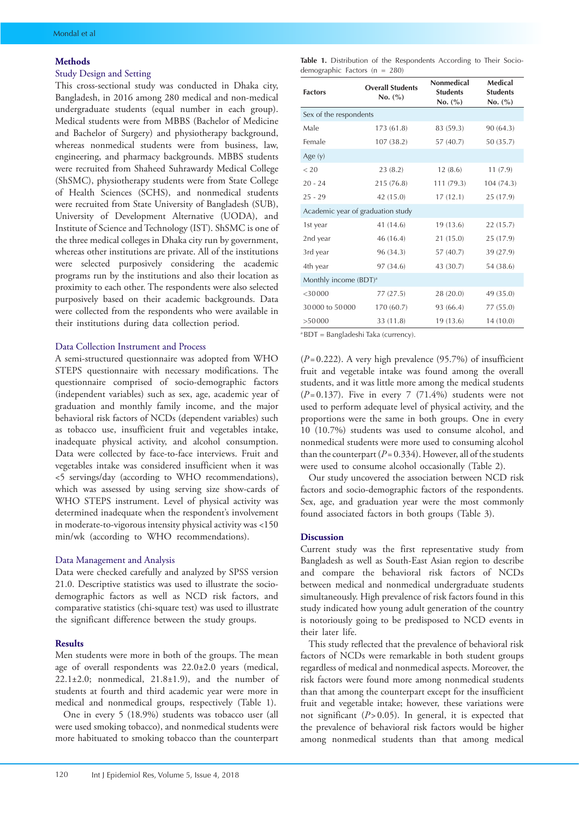#### **Methods**

# Study Design and Setting

This cross-sectional study was conducted in Dhaka city, Bangladesh, in 2016 among 280 medical and non-medical undergraduate students (equal number in each group). Medical students were from MBBS (Bachelor of Medicine and Bachelor of Surgery) and physiotherapy background, whereas nonmedical students were from business, law, engineering, and pharmacy backgrounds. MBBS students were recruited from Shaheed Suhrawardy Medical College (ShSMC), physiotherapy students were from State College of Health Sciences (SCHS), and nonmedical students were recruited from State University of Bangladesh (SUB), University of Development Alternative (UODA), and Institute of Science and Technology (IST). ShSMC is one of the three medical colleges in Dhaka city run by government, whereas other institutions are private. All of the institutions were selected purposively considering the academic programs run by the institutions and also their location as proximity to each other. The respondents were also selected purposively based on their academic backgrounds. Data were collected from the respondents who were available in their institutions during data collection period.

### Data Collection Instrument and Process

A semi-structured questionnaire was adopted from WHO STEPS questionnaire with necessary modifications. The questionnaire comprised of socio-demographic factors (independent variables) such as sex, age, academic year of graduation and monthly family income, and the major behavioral risk factors of NCDs (dependent variables) such as tobacco use, insufficient fruit and vegetables intake, inadequate physical activity, and alcohol consumption. Data were collected by face-to-face interviews. Fruit and vegetables intake was considered insufficient when it was <5 servings/day (according to WHO recommendations), which was assessed by using serving size show-cards of WHO STEPS instrument. Level of physical activity was determined inadequate when the respondent's involvement in moderate-to-vigorous intensity physical activity was <150 min/wk (according to WHO recommendations).

#### Data Management and Analysis

Data were checked carefully and analyzed by SPSS version 21.0. Descriptive statistics was used to illustrate the sociodemographic factors as well as NCD risk factors, and comparative statistics (chi-square test) was used to illustrate the significant difference between the study groups.

#### **Results**

Men students were more in both of the groups. The mean age of overall respondents was 22.0±2.0 years (medical,  $22.1\pm2.0$ ; nonmedical,  $21.8\pm1.9$ ), and the number of students at fourth and third academic year were more in medical and nonmedical groups, respectively (Table 1).

One in every 5 (18.9%) students was tobacco user (all were used smoking tobacco), and nonmedical students were more habituated to smoking tobacco than the counterpart

Table 1. Distribution of the Respondents According to Their Sociodemographic Factors (n = 280)

| <b>Factors</b>                    | <b>Overall Students</b><br>No. (%) | Nonmedical<br><b>Students</b><br>No. (%) | Medical<br><b>Students</b><br>No. (%) |  |  |  |  |
|-----------------------------------|------------------------------------|------------------------------------------|---------------------------------------|--|--|--|--|
| Sex of the respondents            |                                    |                                          |                                       |  |  |  |  |
| Male                              | 173 (61.8)                         | 83 (59.3)                                | 90(64.3)                              |  |  |  |  |
| Female                            | 107(38.2)                          | 57 (40.7)                                | 50 (35.7)                             |  |  |  |  |
| Age $(y)$                         |                                    |                                          |                                       |  |  |  |  |
| < 20                              | 23(8.2)                            | 12(8.6)                                  | 11(7.9)                               |  |  |  |  |
| $20 - 24$                         | 215 (76.8)                         | 111(79.3)                                | 104(74.3)                             |  |  |  |  |
| $25 - 29$                         | 42 (15.0)                          | 17(12.1)                                 | 25 (17.9)                             |  |  |  |  |
| Academic year of graduation study |                                    |                                          |                                       |  |  |  |  |
| 1st year                          | 41 (14.6)                          | 19 (13.6)                                | 22(15.7)                              |  |  |  |  |
| 2nd year                          | 46 (16.4)                          | 21 (15.0)                                | 25 (17.9)                             |  |  |  |  |
| 3rd year                          | 96 (34.3)                          | 57 (40.7)                                | 39 (27.9)                             |  |  |  |  |
| 4th year                          | 97 (34.6)                          | 43 (30.7)                                | 54 (38.6)                             |  |  |  |  |
| Monthly income (BDT) <sup>a</sup> |                                    |                                          |                                       |  |  |  |  |
| $<$ 30000                         | 77(27.5)                           | 28 (20.0)                                | 49 (35.0)                             |  |  |  |  |
| 30000 to 50000                    | 170 (60.7)                         | 93 (66.4)                                | 77 (55.0)                             |  |  |  |  |
| >50000                            | 33 (11.8)                          | 19 (13.6)                                | 14 (10.0)                             |  |  |  |  |

a BDT = Bangladeshi Taka (currency).

(*P*= 0.222). A very high prevalence (95.7%) of insufficient fruit and vegetable intake was found among the overall students, and it was little more among the medical students  $(P= 0.137)$ . Five in every 7  $(71.4\%)$  students were not used to perform adequate level of physical activity, and the proportions were the same in both groups. One in every 10 (10.7%) students was used to consume alcohol, and nonmedical students were more used to consuming alcohol than the counterpart  $(P=0.334)$ . However, all of the students were used to consume alcohol occasionally (Table 2).

Our study uncovered the association between NCD risk factors and socio-demographic factors of the respondents. Sex, age, and graduation year were the most commonly found associated factors in both groups (Table 3).

#### **Discussion**

Current study was the first representative study from Bangladesh as well as South-East Asian region to describe and compare the behavioral risk factors of NCDs between medical and nonmedical undergraduate students simultaneously. High prevalence of risk factors found in this study indicated how young adult generation of the country is notoriously going to be predisposed to NCD events in their later life.

This study reflected that the prevalence of behavioral risk factors of NCDs were remarkable in both student groups regardless of medical and nonmedical aspects. Moreover, the risk factors were found more among nonmedical students than that among the counterpart except for the insufficient fruit and vegetable intake; however, these variations were not significant (*P*>0.05). In general, it is expected that the prevalence of behavioral risk factors would be higher among nonmedical students than that among medical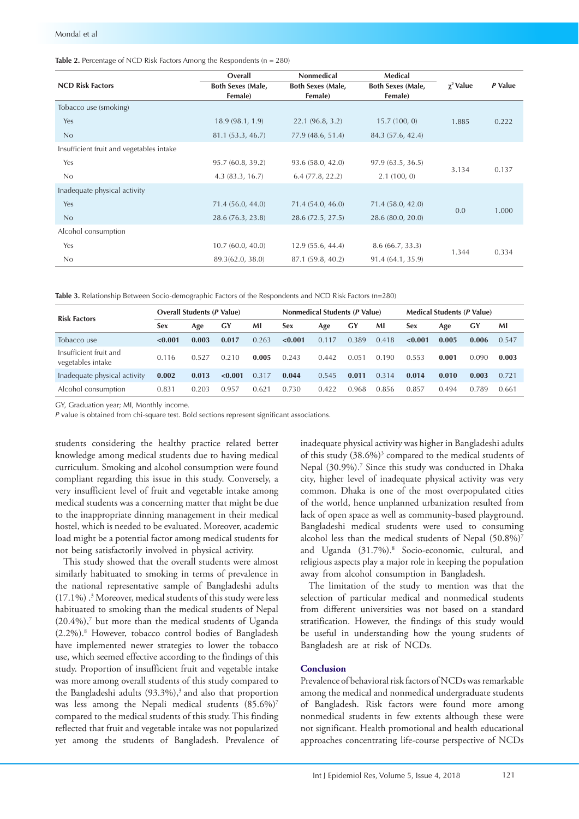# **Table 2.** Percentage of NCD Risk Factors Among the Respondents (n = 280)

|                                          | Overall                  | <b>Nonmedical</b>        | Medical                  |                  | P Value |  |
|------------------------------------------|--------------------------|--------------------------|--------------------------|------------------|---------|--|
| <b>NCD Risk Factors</b>                  | <b>Both Sexes (Male,</b> | <b>Both Sexes (Male,</b> | <b>Both Sexes (Male,</b> | $\gamma^2$ Value |         |  |
|                                          | Female)                  | Female)                  | Female)                  |                  |         |  |
| Tobacco use (smoking)                    |                          |                          |                          |                  |         |  |
| Yes                                      | 18.9(98.1, 1.9)          | 22.1(96.8, 3.2)          | 15.7(100, 0)             | 1.885            | 0.222   |  |
| No                                       | 81.1 (53.3, 46.7)        | 77.9(48.6, 51.4)         | 84.3 (57.6, 42.4)        |                  |         |  |
| Insufficient fruit and vegetables intake |                          |                          |                          |                  |         |  |
| Yes                                      | 95.7(60.8, 39.2)         | 93.6(58.0, 42.0)         | 97.9(63.5, 36.5)         |                  |         |  |
| No                                       | 4.3(83.3, 16.7)          | 6.4(77.8, 22.2)          | 2.1(100, 0)              | 3.134            | 0.137   |  |
| Inadequate physical activity             |                          |                          |                          |                  |         |  |
| Yes                                      | 71.4 (56.0, 44.0)        | 71.4 (54.0, 46.0)        | 71.4 (58.0, 42.0)        | 0.0              | 1.000   |  |
| No                                       | 28.6 (76.3, 23.8)        | 28.6(72.5, 27.5)         | 28.6 (80.0, 20.0)        |                  |         |  |
| Alcohol consumption                      |                          |                          |                          |                  |         |  |
| Yes                                      | 10.7(60.0, 40.0)         | 12.9(55.6, 44.4)         | 8.6(66.7, 33.3)          | 1.344            | 0.334   |  |
| No                                       | 89.3(62.0, 38.0)         | 87.1 (59.8, 40.2)        | 91.4 (64.1, 35.9)        |                  |         |  |

**Table 3.** Relationship Between Socio-demographic Factors of the Respondents and NCD Risk Factors (n=280)

| <b>Risk Factors</b>                         | <b>Overall Students (P Value)</b> |       |         | <b>Nonmedical Students (P Value)</b> |         |       | <b>Medical Students (P Value)</b> |       |            |       |       |       |
|---------------------------------------------|-----------------------------------|-------|---------|--------------------------------------|---------|-------|-----------------------------------|-------|------------|-------|-------|-------|
|                                             | <b>Sex</b>                        | Age   | GY      | MI                                   | Sex     | Age   | GY                                | MI    | <b>Sex</b> | Age   | GY    | MI    |
| Tobacco use                                 | < 0.001                           | 0.003 | 0.017   | 0.263                                | < 0.001 | 0.117 | 0.389                             | 0.418 | < 0.001    | 0.005 | 0.006 | 0.547 |
| Insufficient fruit and<br>vegetables intake | 0.116                             | 0.527 | 0.210   | 0.005                                | 0.243   | 0.442 | 0.051                             | 0.190 | 0.553      | 0.001 | 0.090 | 0.003 |
| Inadequate physical activity                | 0.002                             | 0.013 | < 0.001 | 0.317                                | 0.044   | 0.545 | 0.011                             | 0.314 | 0.014      | 0.010 | 0.003 | 0.721 |
| Alcohol consumption                         | 0.831                             | 0.203 | 0.957   | $0.62^{\circ}$                       | 0.730   | 0.422 | 0.968                             | 0.856 | 0.857      | 0.494 | 0.789 | 0.661 |

GY, Graduation year; MI, Monthly income.

*P* value is obtained from chi-square test. Bold sections represent significant associations.

students considering the healthy practice related better knowledge among medical students due to having medical curriculum. Smoking and alcohol consumption were found compliant regarding this issue in this study. Conversely, a very insufficient level of fruit and vegetable intake among medical students was a concerning matter that might be due to the inappropriate dinning management in their medical hostel, which is needed to be evaluated. Moreover, academic load might be a potential factor among medical students for not being satisfactorily involved in physical activity.

This study showed that the overall students were almost similarly habituated to smoking in terms of prevalence in the national representative sample of Bangladeshi adults (17.1%) .3 Moreover, medical students of this study were less habituated to smoking than the medical students of Nepal (20.4%),7 but more than the medical students of Uganda (2.2%).8 However, tobacco control bodies of Bangladesh have implemented newer strategies to lower the tobacco use, which seemed effective according to the findings of this study. Proportion of insufficient fruit and vegetable intake was more among overall students of this study compared to the Bangladeshi adults  $(93.3\%)$ ,<sup>3</sup> and also that proportion was less among the Nepali medical students (85.6%)<sup>7</sup> compared to the medical students of this study. This finding reflected that fruit and vegetable intake was not popularized yet among the students of Bangladesh. Prevalence of inadequate physical activity was higher in Bangladeshi adults of this study (38.6%)<sup>3</sup> compared to the medical students of Nepal (30.9%).<sup>7</sup> Since this study was conducted in Dhaka city, higher level of inadequate physical activity was very common. Dhaka is one of the most overpopulated cities of the world, hence unplanned urbanization resulted from lack of open space as well as community-based playground. Bangladeshi medical students were used to consuming alcohol less than the medical students of Nepal  $(50.8\%)^7$ and Uganda (31.7%).8 Socio-economic, cultural, and religious aspects play a major role in keeping the population away from alcohol consumption in Bangladesh.

The limitation of the study to mention was that the selection of particular medical and nonmedical students from different universities was not based on a standard stratification. However, the findings of this study would be useful in understanding how the young students of Bangladesh are at risk of NCDs.

# **Conclusion**

Prevalence of behavioral risk factors of NCDs was remarkable among the medical and nonmedical undergraduate students of Bangladesh. Risk factors were found more among nonmedical students in few extents although these were not significant. Health promotional and health educational approaches concentrating life-course perspective of NCDs